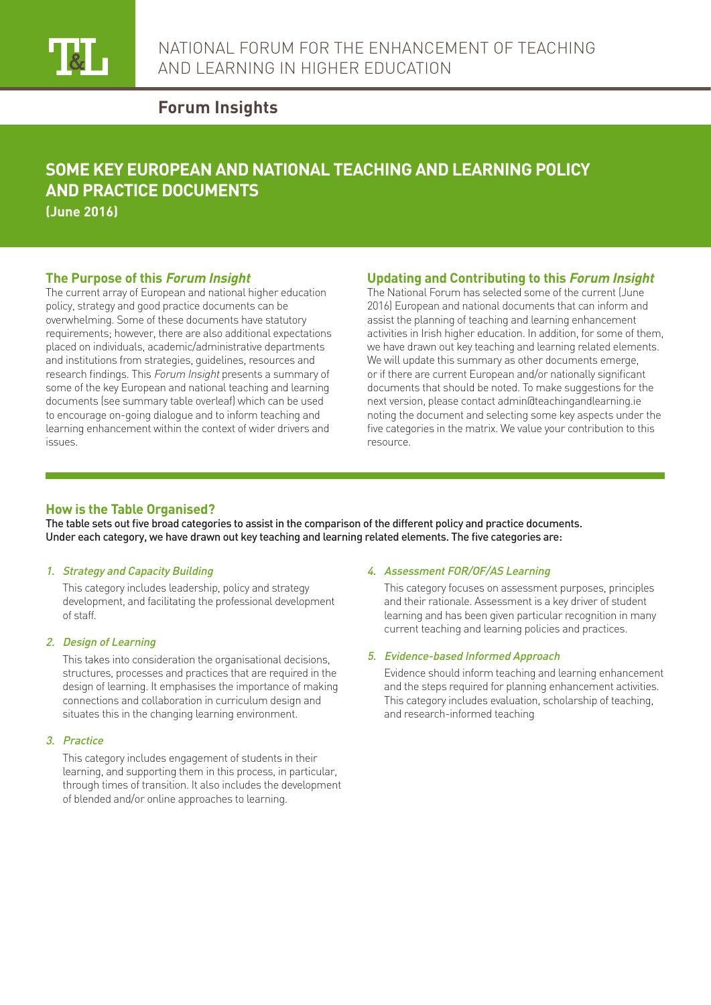

# **Forum Insights**

# **SOME KEY EUROPEAN AND NATIONAL TEACHING AND LEARNING POLICY AND PRACTICE DOCUMENTS**

**(June 2016)**

#### **The Purpose of this Forum Insight**

The current array of European and national higher education policy, strategy and good practice documents can be overwhelming. Some of these documents have statutory requirements; however, there are also additional expectations placed on individuals, academic/administrative departments and institutions from strategies, guidelines, resources and research findings. This Forum Insight presents a summary of some of the key European and national teaching and learning documents (see summary table overleaf) which can be used to encourage on-going dialogue and to inform teaching and learning enhancement within the context of wider drivers and issues.

## **Updating and Contributing to this Forum Insight**

The National Forum has selected some of the current (June 2016) European and national documents that can inform and assist the planning of teaching and learning enhancement activities in Irish higher education. In addition, for some of them, we have drawn out key teaching and learning related elements. We will update this summary as other documents emerge, or if there are current European and/or nationally significant documents that should be noted. To make suggestions for the next version, please contact admin@teachingandlearning.ie noting the document and selecting some key aspects under the five categories in the matrix. We value your contribution to this resource.

### **How is the Table Organised?**

The table sets out five broad categories to assist in the comparison of the different policy and practice documents. Under each category, we have drawn out key teaching and learning related elements. The five categories are:

#### 1. Strategy and Capacity Building

This category includes leadership, policy and strategy development, and facilitating the professional development of staff.

#### 2. Design of Learning

This takes into consideration the organisational decisions, structures, processes and practices that are required in the design of learning. It emphasises the importance of making connections and collaboration in curriculum design and situates this in the changing learning environment.

#### 3. Practice

This category includes engagement of students in their learning, and supporting them in this process, in particular, through times of transition. It also includes the development of blended and/or online approaches to learning.

#### 4. Assessment FOR/OF/AS Learning

This category focuses on assessment purposes, principles and their rationale. Assessment is a key driver of student learning and has been given particular recognition in many current teaching and learning policies and practices.

#### 5. Evidence-based Informed Approach

Evidence should inform teaching and learning enhancement and the steps required for planning enhancement activities. This category includes evaluation, scholarship of teaching, and research-informed teaching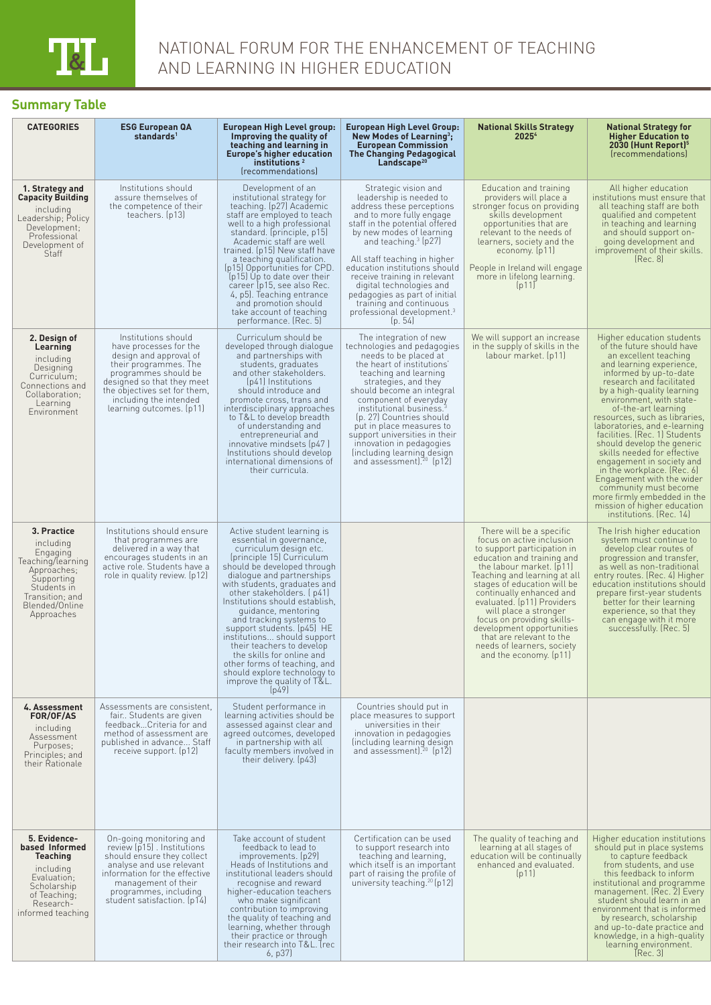# **Summary Table**

| <b>CATEGORIES</b>                                                                                                                                        | <b>ESG European QA</b><br>standards <sup>1</sup>                                                                                                                                                                                             | European High Level group:<br>Improving the quality of<br>teaching and learning in<br><b>Europe's higher education</b><br>institutions <sup>2</sup><br>(recommendations)                                                                                                                                                                                                                                                                                                                                                                                  | <b>European High Level Group:</b><br>New Modes of Learning <sup>3</sup> ;<br><b>European Commission</b><br><b>The Changing Pedagogical</b><br>Landscape <sup>20</sup>                                                                                                                                                                                                                                                                                  | <b>National Skills Strategy</b><br>2025 <sup>4</sup>                                                                                                                                                                                                                                                                                                                                                                                            | National Strategy for<br><b>Higher Education to</b><br>2030 (Hunt Report) <sup>5</sup><br><i><u><b><u>Irecommendationsl</u></b></u></i>                                                                                                                                                                                                                                                                                                                                                                                                                                                                                     |
|----------------------------------------------------------------------------------------------------------------------------------------------------------|----------------------------------------------------------------------------------------------------------------------------------------------------------------------------------------------------------------------------------------------|-----------------------------------------------------------------------------------------------------------------------------------------------------------------------------------------------------------------------------------------------------------------------------------------------------------------------------------------------------------------------------------------------------------------------------------------------------------------------------------------------------------------------------------------------------------|--------------------------------------------------------------------------------------------------------------------------------------------------------------------------------------------------------------------------------------------------------------------------------------------------------------------------------------------------------------------------------------------------------------------------------------------------------|-------------------------------------------------------------------------------------------------------------------------------------------------------------------------------------------------------------------------------------------------------------------------------------------------------------------------------------------------------------------------------------------------------------------------------------------------|-----------------------------------------------------------------------------------------------------------------------------------------------------------------------------------------------------------------------------------------------------------------------------------------------------------------------------------------------------------------------------------------------------------------------------------------------------------------------------------------------------------------------------------------------------------------------------------------------------------------------------|
| 1. Strategy and<br><b>Capacity Building</b><br>including<br>Leadership; Policy<br>Development;<br>Professional<br>Development of<br>Staff                | Institutions should<br>assure themselves of<br>the competence of their<br>teachers. (p13)                                                                                                                                                    | Development of an<br>institutional strategy for<br>teaching. (p27) Academic<br>staff are employed to teach<br>well to a high professional<br>standard. (principle, p15)<br>Academic staff are well<br>trained. (p15) New staff have<br>a teaching qualification.<br>(p15) Opportunities for CPD.<br>(p15) Up to date over their<br>career (p15, see also Rec.<br>4, p5J. Teaching entrance<br>and promotion should<br>take account of teaching<br>performance. (Rec. 5)                                                                                   | Strategic vision and<br>leadership is needed to<br>address these perceptions<br>and to more fully engage<br>staff in the potential offered<br>by new modes of learning<br>and teaching. $3$ (p27)<br>All staff teaching in higher<br>education institutions should<br>receive training in relevant<br>digital technologies and<br>pedagogies as part of initial<br>training and continuous<br>professional development. <sup>3</sup><br>[p. 54]        | Education and training<br>providers will place a<br>stronger focus on providing<br>skills development<br>opportunities that are<br>relevant to the needs of<br>learners, society and the<br>economy. [p11]<br>People in Ireland will engage<br>more in lifelong learning.<br>[p11]                                                                                                                                                              | All higher education<br>institutions must ensure that<br>all teaching staff are both<br>qualified and competent<br>in teaching and learning<br>and should support on-<br>going development and<br>improvement of their skills.<br>[Rec. 8]                                                                                                                                                                                                                                                                                                                                                                                  |
| 2. Design of<br>Learning<br>including<br>Designing<br>Curriculum;<br>Connections and<br>Collaboration;<br>Learning<br>Environment                        | Institutions should<br>have processes for the<br>design and approval of<br>their programmes. The<br>programmes should be<br>designed so that they meet<br>the objectives set for them,<br>including the intended<br>learning outcomes. (p11) | Curriculum should be<br>developed through dialogue<br>and partnerships with<br>students, graduates<br>and other stakeholders.<br>(p41) Institutions<br>should introduce and<br>promote cross, trans and<br>interdisciplinary approaches<br>to T&L to develop breadth<br>of understanding and<br>entrepreneurial and<br>innovative mindsets (p47)<br>Institutions should develop<br>international dimensions of<br>their curricula.                                                                                                                        | The integration of new<br>technologies and pedagogies<br>needs to be placed at<br>the heart of institutions'<br>teaching and learning<br>strategies, and they<br>should become an integral<br>component of everyday<br>institutional business. <sup>3</sup><br>(p. 27) Countries should<br>put in place measures to<br>support universities in their<br>innovation in pedagogies<br>lincluding learning design<br>and assessment). <sup>20</sup> (p12) | We will support an increase<br>in the supply of skills in the<br>labour market. (p11)                                                                                                                                                                                                                                                                                                                                                           | Higher education students<br>of the future should have<br>an excellent teaching<br>and learning experience,<br>informed by up-to-date<br>research and facilitated<br>by a high-quality learning<br>environment, with state-<br>of-the-art learning<br>resources, such as libraries,<br>laboratories, and e-learning<br>facilities. (Rec. 1) Students<br>should develop the generic<br>skills needed for effective<br>engagement in society and<br>in the workplace. (Rec. 6)<br>Engagement with the wider<br>community must become<br>more firmly embedded in the<br>mission of higher education<br>institutions. (Rec. 14) |
| 3. Practice<br>including<br>Engaging<br>Teaching/learning<br>Approaches;<br>Supporting<br>Students in<br>Transition; and<br>Blended/Online<br>Approaches | Institutions should ensure<br>that programmes are<br>delivered in a way that<br>encourages students in an<br>active role. Students have a<br>role in quality review. (p12)                                                                   | Active student learning is<br>essential in governance,<br>curriculum design etc.<br>(principle 15) Curriculum<br>should be developed through<br>dialogue and partnerships<br>with students, graduates and<br>other stakeholders. [p41]<br>Institutions should establish.<br>quidance, mentoring<br>and tracking systems to<br>support students. (p45) HE<br>institutions should support<br>their teachers to develop<br>the skills for online and<br>other forms of teaching, and<br>should explore technology to<br>improve the quality of T&L.<br>[p49] |                                                                                                                                                                                                                                                                                                                                                                                                                                                        | There will be a specific<br>focus on active inclusion<br>to support participation in<br>education and training and<br>the labour market. (p11)<br>Teaching and learning at all<br>stages of education will be<br>continually enhanced and<br>evaluated. (p11) Providers<br>will place a stronger<br>focus on providing skills-<br>development opportunities<br>that are relevant to the<br>needs of learners, society<br>and the economy. (p11) | The Irish higher education<br>system must continue to<br>develop clear routes of<br>progression and transfer,<br>as well as non-traditional<br>entry routes. (Rec. 4) Higher<br>education institutions should<br>prepare first-year students<br>better for their learning<br>experience, so that they<br>can engage with it more<br>successfully. (Rec. 5)                                                                                                                                                                                                                                                                  |
| 4. Assessment<br>FOR/OF/AS<br>including<br>Assessment<br>Purposes;<br>Principles; and<br>their Rationale                                                 | Assessments are consistent.<br>fair Students are given<br>feedbackCriteria for and<br>method of assessment are<br>published in advance Staff<br>receive support. (p12)                                                                       | Student performance in<br>learning activities should be<br>assessed against clear and<br>agreed outcomes, developed<br>in partnership with all<br>faculty members involved in<br>their delivery. (p43)                                                                                                                                                                                                                                                                                                                                                    | Countries should put in<br>place measures to support<br>universities in their<br>innovation in pedagogies<br>lincluding learning design<br>and assessment). <sup>20</sup> (p12)                                                                                                                                                                                                                                                                        |                                                                                                                                                                                                                                                                                                                                                                                                                                                 |                                                                                                                                                                                                                                                                                                                                                                                                                                                                                                                                                                                                                             |
| 5. Evidence-<br>based Informed<br>Teaching<br>including<br>Evaluation;<br>Scholarship<br>of Teaching;<br>Research-<br>informed teaching                  | On-going monitoring and<br>review (p15). Institutions<br>should ensure they collect<br>analyse and use relevant<br>information for the effective<br>management of their<br>programmes, including<br>student satisfaction. (p14)              | Take account of student<br>feedback to lead to<br>improvements. (p29)<br>Heads of Institutions and<br>institutional leaders should<br>recognise and reward<br>higher-education teachers<br>who make significant<br>contribution to improving<br>the quality of teaching and<br>learning, whether through<br>their practice or through<br>their research into T&L. (rec<br>6, p37)                                                                                                                                                                         | Certification can be used<br>to support research into<br>teaching and learning,<br>which itself is an important<br>part of raising the profile of<br>university teaching. <sup>20</sup> (p12)                                                                                                                                                                                                                                                          | The quality of teaching and<br>learning at all stages of<br>education will be continually<br>enhanced and evaluated.<br>[p11]                                                                                                                                                                                                                                                                                                                   | Higher education institutions<br>should put in place systems<br>to capture feedback<br>from students, and use<br>this feedback to inform<br>institutional and programme<br>management. (Rec. 2) Every<br>student should learn in an<br>environment that is informed<br>by research, scholarship<br>and up-to-date practice and<br>knowledge, in a high-quality<br>learning environment.<br>[Rec. 3]                                                                                                                                                                                                                         |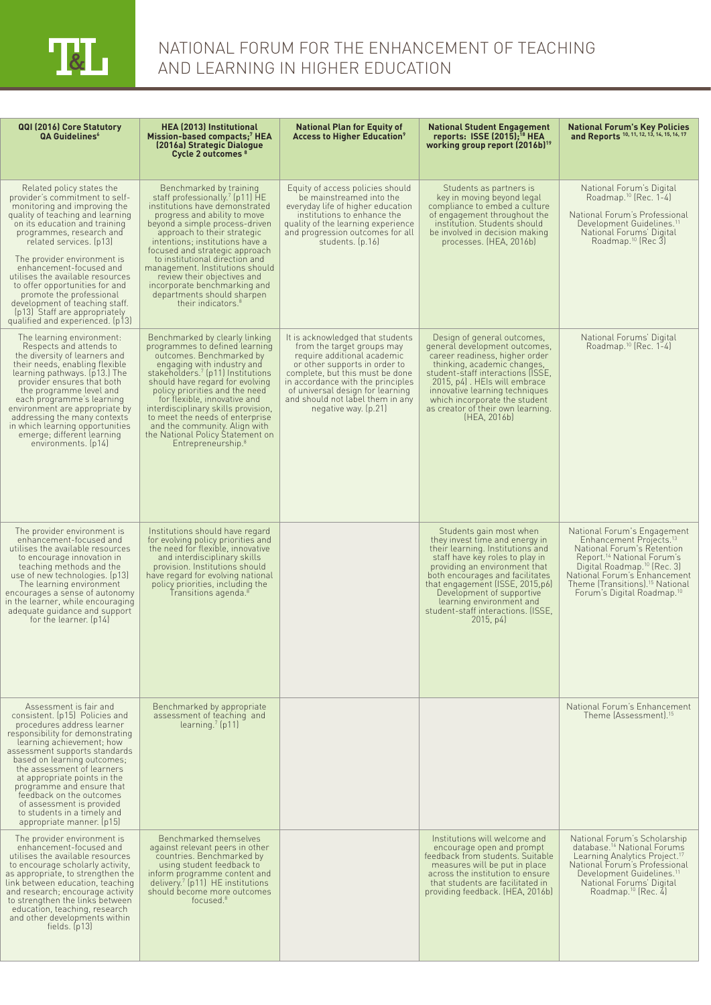

| QQI (2016) Core Statutory<br><b>QA Guidelines</b> <sup>6</sup>                                                                                                                                                                                                                                                                                                                                                                                                                             | <b>HEA (2013) Institutional</b><br>Mission-based compacts: <sup>7</sup> HEA<br>(2016a) Strategic Dialogue<br>Cycle 2 outcomes <sup>8</sup>                                                                                                                                                                                                                                                                                                                                         | <b>National Plan for Equity of</b><br><b>Access to Higher Education</b> <sup>9</sup>                                                                                                                                                                                                                   | <b>National Student Engagement</b><br>reports: ISSE $(2015)$ : <sup>18</sup> HEA<br>working group report (2016b) <sup>19</sup>                                                                                                                                                                                                                      | <b>National Forum's Key Policies</b><br>and Reports 10, 11, 12, 13, 14, 15, 16, 17                                                                                                                                                                                                                             |
|--------------------------------------------------------------------------------------------------------------------------------------------------------------------------------------------------------------------------------------------------------------------------------------------------------------------------------------------------------------------------------------------------------------------------------------------------------------------------------------------|------------------------------------------------------------------------------------------------------------------------------------------------------------------------------------------------------------------------------------------------------------------------------------------------------------------------------------------------------------------------------------------------------------------------------------------------------------------------------------|--------------------------------------------------------------------------------------------------------------------------------------------------------------------------------------------------------------------------------------------------------------------------------------------------------|-----------------------------------------------------------------------------------------------------------------------------------------------------------------------------------------------------------------------------------------------------------------------------------------------------------------------------------------------------|----------------------------------------------------------------------------------------------------------------------------------------------------------------------------------------------------------------------------------------------------------------------------------------------------------------|
| Related policy states the<br>provider's commitment to self-<br>monitoring and improving the<br>quality of teaching and learning<br>on its education and training<br>programmes, research and<br>related services. (p13)<br>The provider environment is<br>enhancement-focused and<br>utilises the available resources<br>to offer opportunities for and<br>promote the professional<br>development of teaching staff.<br>(p13) Staff are appropriately<br>qualified and experienced. (p13) | Benchmarked by training<br>staff professionally. <sup>7</sup> (p11) HE<br>institutions have demonstrated<br>progress and ability to move<br>beyond a simple process-driven<br>approach to their strategic<br>intentions; institutions have a<br>focused and strategic approach<br>to institutional direction and<br>management. Institutions should<br>review their objectives and<br>incorporate benchmarking and<br>departments should sharpen<br>their indicators. <sup>8</sup> | Equity of access policies should<br>be mainstreamed into the<br>everyday life of higher education<br>institutions to enhance the<br>quality of the learning experience<br>and progression outcomes for all<br>students. (p.16)                                                                         | Students as partners is<br>key in moving beyond legal<br>compliance to embed a culture<br>of engagement throughout the<br>institution. Students should<br>be involved in decision making<br>processes. (HEA, 2016b)                                                                                                                                 | National Forum's Digital<br>Roadmap. <sup>10</sup> (Rec. $1-4$ )<br>National Forum's Professional<br>Development Guidelines. <sup>11</sup><br>National Forums' Digital<br>Roadmap. <sup>10</sup> (Rec 3)                                                                                                       |
| The learning environment:<br>Respects and attends to<br>the diversity of learners and<br>their needs, enabling flexible<br>learning pathways. (p13.) The<br>provider ensures that both<br>the programme level and<br>each programme's learning<br>environment are appropriate by<br>addressing the many contexts<br>in which learning opportunities<br>emerge; different learning<br>environments. (p14)                                                                                   | Benchmarked by clearly linking<br>programmes to defined learning<br>outcomes. Benchmarked by<br>engaging with industry and<br>stakeholders. <sup>7</sup> (p11) Institutions<br>should have regard for evolving<br>policy priorities and the need<br>for flexible, innovative and<br>interdisciplinary skills provision,<br>to meet the needs of enterprise<br>and the community. Align with<br>the National Policy Statement on<br>Entrepreneurship. <sup>8</sup>                  | It is acknowledged that students<br>from the target groups may<br>require additional academic<br>or other supports in order to<br>complete, but this must be done<br>in accordance with the principles<br>of universal design for learning<br>and should not label them in any<br>negative way. (p.21) | Design of general outcomes,<br>general development outcomes,<br>career readiness, higher order<br>thinking, academic changes,<br>student-staff interactions (ISSE,<br>2015, p4. HEIs will embrace<br>innovative learning techniques<br>which incorporate the student<br>as creator of their own learning.<br>(HEA, 2016b)                           | National Forums' Digital<br>Roadmap. <sup>10</sup> (Rec. 1-4)                                                                                                                                                                                                                                                  |
| The provider environment is<br>enhancement-focused and<br>utilises the available resources<br>to encourage innovation in<br>teaching methods and the<br>use of new technologies. (p13)<br>The learning environment<br>encourages a sense of autonomy<br>in the learner, while encouraging<br>adequate guidance and support<br>for the learner. (p14)                                                                                                                                       | Institutions should have regard<br>for evolving policy priorities and<br>the need for flexible, innovative<br>and interdisciplinary skills<br>provision. Institutions should<br>have regard for evolving national<br>policy priorities, including the<br>Transitions agenda. <sup>8</sup>                                                                                                                                                                                          |                                                                                                                                                                                                                                                                                                        | Students gain most when<br>they invest time and energy in<br>their learning. Institutions and<br>staff have key roles to play in<br>providing an environment that<br>both encourages and facilitates<br>that engagement (ISSE, 2015, p6)<br>Development of supportive<br>learning environment and<br>student-staff interactions. (ISSE,<br>2015, p4 | National Forum's Engagement<br>Enhancement Projects. <sup>13</sup><br>National Forum's Retention<br>Report. <sup>14</sup> National Forum's<br>Digital Roadmap. <sup>10</sup> (Rec. 3)<br>National Forum's Enhancement<br>Theme (Transitions). <sup>15</sup> National<br>Forum's Digital Roadmap. <sup>10</sup> |
| Assessment is fair and<br>consistent. (p15) Policies and<br>procedures address learner<br>responsibility for demonstrating<br>learning achievement; how<br>assessment supports standards<br>based on learning outcomes;<br>the assessment of learners<br>at appropriate points in the<br>programme and ensure that<br>feedback on the outcomes<br>of assessment is provided<br>to students in a timely and<br>appropriate manner. [p15]                                                    | Benchmarked by appropriate<br>assessment of teaching and<br>$learning$ [p11]                                                                                                                                                                                                                                                                                                                                                                                                       |                                                                                                                                                                                                                                                                                                        |                                                                                                                                                                                                                                                                                                                                                     | National Forum's Enhancement<br>Theme (Assessment).15                                                                                                                                                                                                                                                          |
| The provider environment is<br>enhancement-focused and<br>utilises the available resources<br>to encourage scholarly activity,<br>as appropriate, to strengthen the<br>link between education, teaching<br>and research; encourage activity<br>to strengthen the links between<br>education, teaching, research<br>and other developments within<br>fields. $[p13]$                                                                                                                        | Benchmarked themselves<br>against relevant peers in other<br>countries. Benchmarked by<br>using student feedback to<br>inform programme content and<br>delivery. <sup>7</sup> (p11) HE institutions<br>should become more outcomes<br>focused. $8$                                                                                                                                                                                                                                 |                                                                                                                                                                                                                                                                                                        | Institutions will welcome and<br>encourage open and prompt<br>feedback from students. Suitable<br>measures will be put in place<br>across the institution to ensure<br>that students are facilitated in<br>providing feedback. (HEA, 2016b)                                                                                                         | National Forum's Scholarship<br>database. <sup>16</sup> National Forums<br>Learning Analytics Project. <sup>17</sup><br>National Forum's Professional<br>Development Guidelines. <sup>11</sup><br>National Forums' Digital<br>Roadmap. <sup>10</sup> (Rec. 4)                                                  |